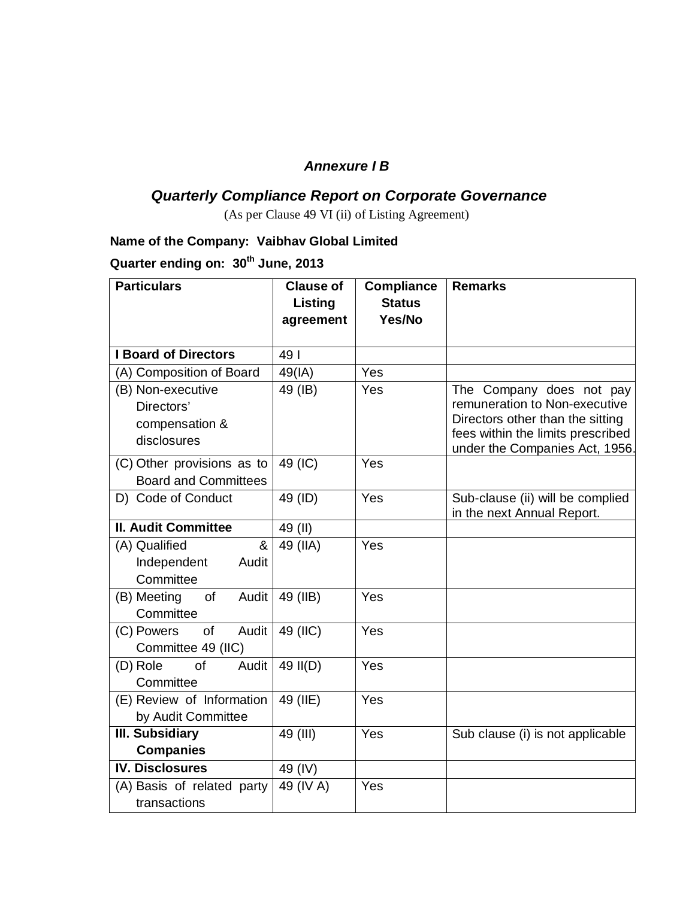### *Annexure I B*

## *Quarterly Compliance Report on Corporate Governance*

(As per Clause 49 VI (ii) of Listing Agreement)

## **Name of the Company: Vaibhav Global Limited**

# **Quarter ending on: 30th June, 2013**

| <b>Particulars</b>                                               | <b>Clause of</b><br><b>Listing</b> | <b>Compliance</b><br><b>Status</b> | <b>Remarks</b>                                                                                                                                                       |
|------------------------------------------------------------------|------------------------------------|------------------------------------|----------------------------------------------------------------------------------------------------------------------------------------------------------------------|
|                                                                  | agreement                          | Yes/No                             |                                                                                                                                                                      |
| <b>I Board of Directors</b>                                      | 49                                 |                                    |                                                                                                                                                                      |
| (A) Composition of Board                                         | 49(IA)                             | Yes                                |                                                                                                                                                                      |
| (B) Non-executive<br>Directors'<br>compensation &<br>disclosures | 49 (IB)                            | Yes                                | The Company does not pay<br>remuneration to Non-executive<br>Directors other than the sitting<br>fees within the limits prescribed<br>under the Companies Act, 1956. |
| (C) Other provisions as to<br><b>Board and Committees</b>        | 49 (IC)                            | Yes                                |                                                                                                                                                                      |
| D) Code of Conduct                                               | 49 (ID)                            | Yes                                | Sub-clause (ii) will be complied<br>in the next Annual Report.                                                                                                       |
| <b>II. Audit Committee</b>                                       | 49 (II)                            |                                    |                                                                                                                                                                      |
| &<br>(A) Qualified<br>Independent<br>Audit<br>Committee          | 49 (IIA)                           | Yes                                |                                                                                                                                                                      |
| (B) Meeting<br>of<br>Audit<br>Committee                          | 49 (IIB)                           | Yes                                |                                                                                                                                                                      |
| $\overline{of}$<br>Audit<br>(C) Powers<br>Committee 49 (IIC)     | 49 (IIC)                           | Yes                                |                                                                                                                                                                      |
| (D) Role<br>of<br>Audit<br>Committee                             | 49 II(D)                           | Yes                                |                                                                                                                                                                      |
| (E) Review of Information<br>by Audit Committee                  | 49 (IIE)                           | Yes                                |                                                                                                                                                                      |
| <b>III. Subsidiary</b>                                           | 49 (III)                           | Yes                                | Sub clause (i) is not applicable                                                                                                                                     |
| <b>Companies</b>                                                 |                                    |                                    |                                                                                                                                                                      |
| <b>IV. Disclosures</b>                                           | 49 (IV)                            |                                    |                                                                                                                                                                      |
| (A) Basis of related party<br>transactions                       | 49 (IV A)                          | Yes                                |                                                                                                                                                                      |